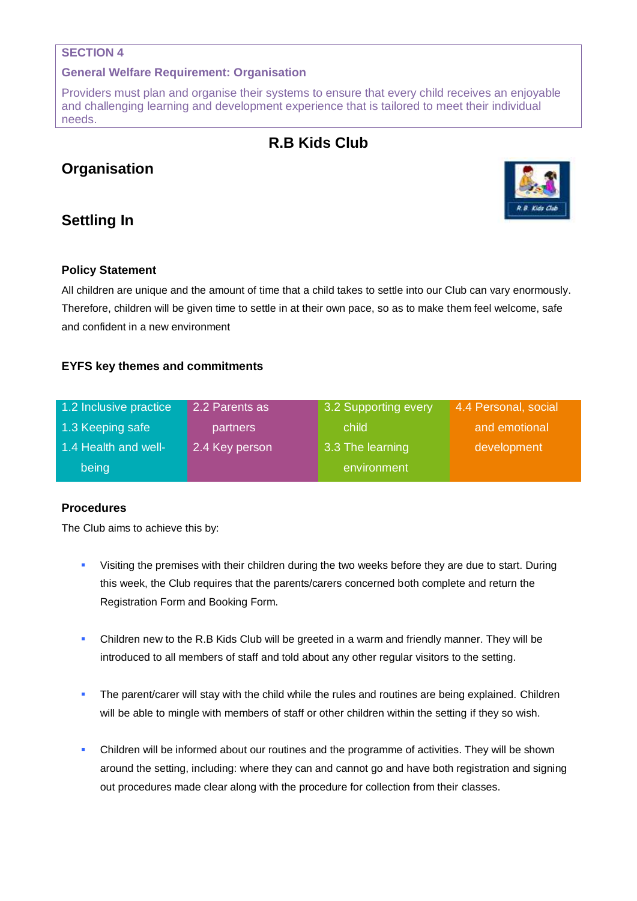### **SECTION 4**

#### **General Welfare Requirement: Organisation**

Providers must plan and organise their systems to ensure that every child receives an enjoyable and challenging learning and development experience that is tailored to meet their individual needs.

### **R.B Kids Club**

# **Organisation**

## **Settling In**



### **Policy Statement**

All children are unique and the amount of time that a child takes to settle into our Club can vary enormously. Therefore, children will be given time to settle in at their own pace, so as to make them feel welcome, safe and confident in a new environment

### **EYFS key themes and commitments**

| 1.2 Inclusive practice | 2.2 Parents as | 3.2 Supporting every | 4.4 Personal, social |
|------------------------|----------------|----------------------|----------------------|
| 1.3 Keeping safe       | partners       | child.               | and emotional        |
| 1.4 Health and well-   | 2.4 Key person | 3.3 The learning     | development          |
| being                  |                | environment          |                      |

### **Procedures**

The Club aims to achieve this by:

- Visiting the premises with their children during the two weeks before they are due to start. During this week, the Club requires that the parents/carers concerned both complete and return the Registration Form and Booking Form.
- Children new to the R.B Kids Club will be greeted in a warm and friendly manner. They will be introduced to all members of staff and told about any other regular visitors to the setting.
- The parent/carer will stay with the child while the rules and routines are being explained. Children will be able to mingle with members of staff or other children within the setting if they so wish.
- Children will be informed about our routines and the programme of activities. They will be shown around the setting, including: where they can and cannot go and have both registration and signing out procedures made clear along with the procedure for collection from their classes.